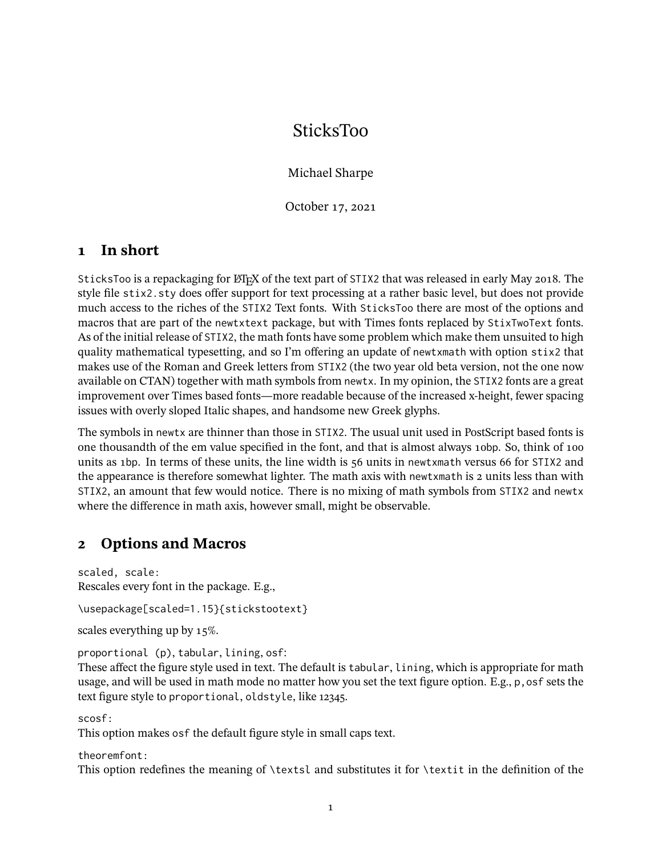# SticksToo

Michael Sharpe

October 17, 2021

#### **1 In short**

SticksToo is a repackaging for LATEX of the text part of STIX2 that was released in early May 2018. The style file stix2.sty does offer support for text processing at a rather basic level, but does not provide much access to the riches of the STIX2 Text fonts. With SticksToo there are most of the options and macros that are part of the newtxtext package, but with Times fonts replaced by StixTwoText fonts. As of the initial release of STIX2, the math fonts have some problem which make them unsuited to high quality mathematical typesetting, and so I'm offering an update of newtxmath with option stix2 that makes use of the Roman and Greek letters from STIX2 (the two year old beta version, not the one now available on CTAN) together with math symbols from newtx. In my opinion, the STIX2 fonts are a great improvement over Times based fonts—more readable because of the increased x-height, fewer spacing issues with overly sloped Italic shapes, and handsome new Greek glyphs.

The symbols in newtx are thinner than those in STIX2. The usual unit used in PostScript based fonts is one thousandth of the em value specified in the font, and that is almost always 10bp. So, think of 100 units as 1bp. In terms of these units, the line width is 56 units in newtxmath versus 66 for STIX2 and the appearance is therefore somewhat lighter. The math axis with newtxmath is 2 units less than with STIX2, an amount that few would notice. There is no mixing of math symbols from STIX2 and newtx where the difference in math axis, however small, might be observable.

#### **2 Options and Macros**

scaled, scale: Rescales every font in the package. E.g.,

\usepackage[scaled=1.15}{stickstootext}

scales everything up by 15%.

proportional (p), tabular, lining, osf:

These affect the figure style used in text. The default is tabular, lining, which is appropriate for math usage, and will be used in math mode no matter how you set the text figure option. E.g., p,osf sets the text figure style to proportional, oldstyle, like 12345.

scosf:

This option makes osf the default figure style in small caps text.

theoremfont:

This option redefines the meaning of \textsl and substitutes it for \textit in the definition of the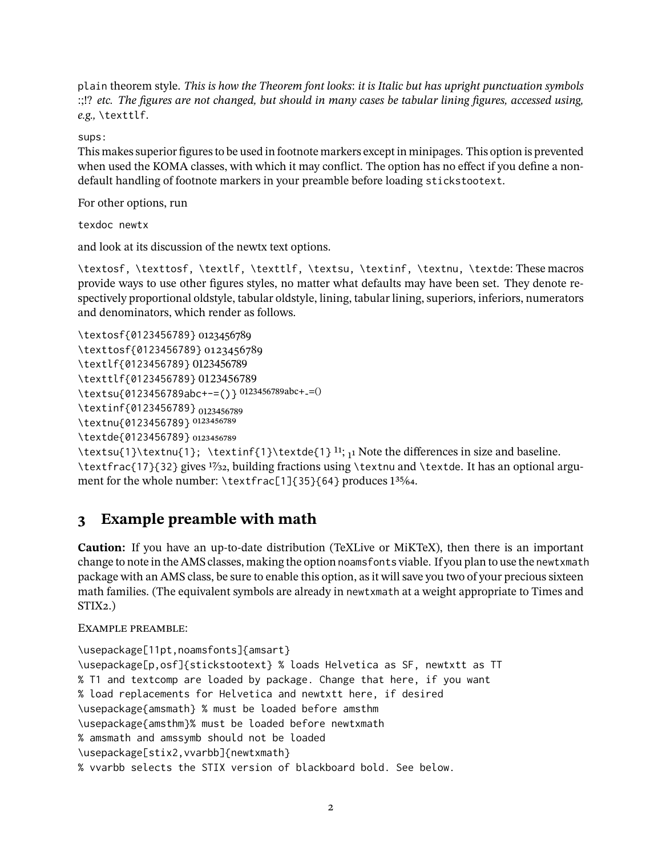plain theorem style. *This is how the Theorem font looks: it is Italic but has upright punctuation symbols :;!? etc. The figures are not changed, but should in many cases be tabular lining figures, accessed using, e.g.,* \texttlf.

sups:

This makes superior figures to be used in footnote markers except in minipages. This option is prevented when used the KOMA classes, with which it may conflict. The option has no effect if you define a nondefault handling of footnote markers in your preamble before loading stickstootext.

For other options, run

texdoc newtx

and look at its discussion of the newtx text options.

\textosf, \texttosf, \textlf, \texttlf, \textsu, \textinf, \textnu, \textde: These macros provide ways to use other figures styles, no matter what defaults may have been set. They denote respectively proportional oldstyle, tabular oldstyle, lining, tabular lining, superiors, inferiors, numerators and denominators, which render as follows.

```
\textosf{0123456789} 0123456789
\texttosf{0123456789} 0123456789
\textlf{0123456789} 0123456789
\texttlf{0123456789} 0123456789
\textsu{0123456789abc+-=()} 0123456789abc+-=()
\textinf{0123456789} <sub>0123456789</sub>
\textnu{0123456789} 0123456789
```
\textde{0123456789} 0123456789

 $\text{1}\text{t}$ ;  $\text{1}\text{t}$  \textinf{1}\textde{1}<sup>11</sup>; 11 Note the differences in size and baseline. \textfrac{17}{32} gives 17⁄32, building fractions using \textnu and \textde. It has an optional argument for the whole number: \textfrac[1]{35}{64} produces 1<sup>35</sup>/64.

#### **3 Example preamble with math**

**Caution:** If you have an up-to-date distribution (TeXLive or MiKTeX), then there is an important change to note in the AMS classes, making the option noamsfonts viable. If you plan to use the newtxmath package with an AMS class, be sure to enable this option, as it will save you two of your precious sixteen math families. (The equivalent symbols are already in newtxmath at a weight appropriate to Times and STIX2.)

Example preamble:

```
\usepackage[11pt,noamsfonts]{amsart}
\usepackage[p,osf]{stickstootext} % loads Helvetica as SF, newtxtt as TT
% T1 and textcomp are loaded by package. Change that here, if you want
% load replacements for Helvetica and newtxtt here, if desired
\usepackage{amsmath} % must be loaded before amsthm
\usepackage{amsthm}% must be loaded before newtxmath
% amsmath and amssymb should not be loaded
\usepackage[stix2,vvarbb]{newtxmath}
% vvarbb selects the STIX version of blackboard bold. See below.
```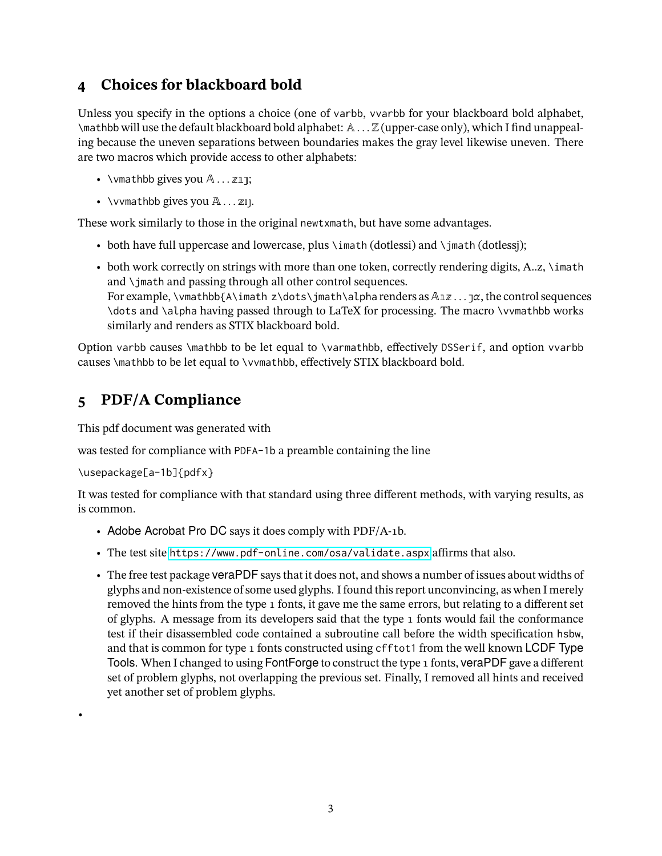### **4 Choices for blackboard bold**

Unless you specify in the options a choice (one of varbb, vvarbb for your blackboard bold alphabet, \mathbb will use the default blackboard bold alphabet: A . . . Z (upper-case only), which I find unappealing because the uneven separations between boundaries makes the gray level likewise uneven. There are two macros which provide access to other alphabets:

- \vmathbb gives you  $A \dots \mathbb{Z} \mathbb{I}$ ;
- \vvmathbb gives you  $\mathbb{A} \dots \mathbb{Z} \mathbb{I}$ .

These work similarly to those in the original newtxmath, but have some advantages.

- both have full uppercase and lowercase, plus  $\infty$  dotlessi) and  $\infty$  and  $\infty$ ;
- both work correctly on strings with more than one token, correctly rendering digits, A..z, \imath and \jmath and passing through all other control sequences. For example, \vmathbb{A\imath z\dots\jmath\alpha renders as  $\mathbb{A}\mathbb{Z}\ldots \mathbb{T}^{\alpha}$ , the control sequences \dots and \alpha having passed through to LaTeX for processing. The macro \vvmathbb works similarly and renders as STIX blackboard bold.

Option varbb causes \mathbb to be let equal to \varmathbb, effectively DSSerif, and option vvarbb causes \mathbb to be let equal to \vvmathbb, effectively STIX blackboard bold.

## **5 PDF/A Compliance**

This pdf document was generated with

was tested for compliance with PDFA-1b a preamble containing the line

```
\usepackage[a-1b]{pdfx}
```
•

It was tested for compliance with that standard using three different methods, with varying results, as is common.

- Adobe Acrobat Pro DC says it does comply with PDF/A-1b.
- The test site <https://www.pdf-online.com/osa/validate.aspx> affirms that also.
- The free test package veraPDF says that it does not, and shows a number of issues about widths of glyphs and non-existence of some used glyphs. I found this report unconvincing, as when I merely removed the hints from the type 1 fonts, it gave me the same errors, but relating to a different set of glyphs. A message from its developers said that the type 1 fonts would fail the conformance test if their disassembled code contained a subroutine call before the width specification hsbw, and that is common for type 1 fonts constructed using cfftot1 from the well known LCDF Type Tools. When I changed to using FontForge to construct the type 1 fonts, veraPDF gave a different set of problem glyphs, not overlapping the previous set. Finally, I removed all hints and received yet another set of problem glyphs.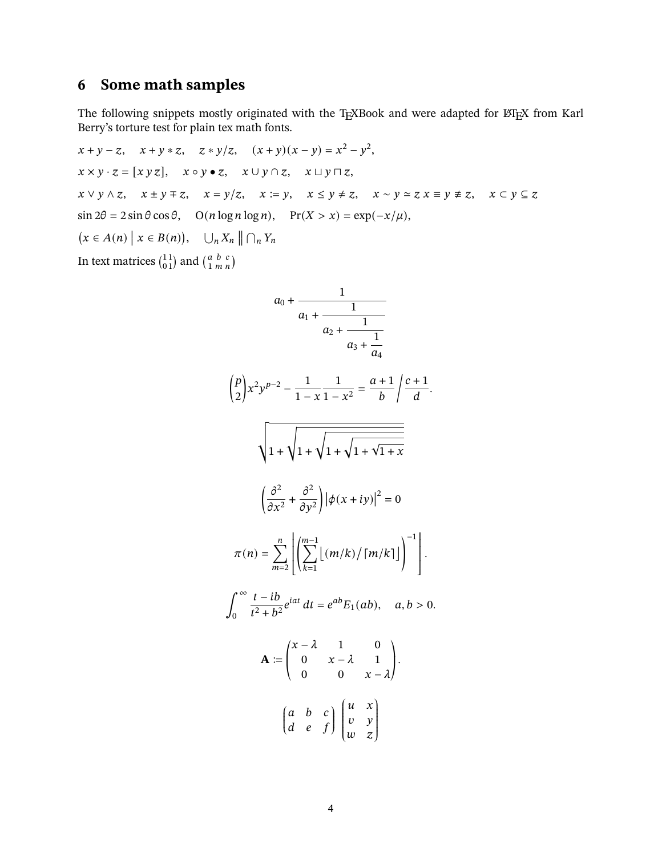# **6 Some math samples**

The following snippets mostly originated with the TEXBook and were adapted for LATEX from Karl Berry's torture test for plain tex math fonts.

$$
x + y - z, \quad x + y * z, \quad z * y/z, \quad (x + y)(x - y) = x^2 - y^2,
$$
  
\n
$$
x \times y \cdot z = [xy z], \quad x \circ y \cdot z, \quad x \cup y \cap z, \quad x \cup y \cap z,
$$
  
\n
$$
x \vee y \wedge z, \quad x \pm y \mp z, \quad x = y/z, \quad x \equiv y, \quad x \le y \ne z, \quad x \sim y \approx z \ x \equiv y \ne z, \quad x \subset y \subseteq z
$$
  
\n
$$
\sin 2\theta = 2 \sin \theta \cos \theta, \quad O(n \log n \log n), \quad \Pr(X > x) = \exp(-x/\mu),
$$
  
\n
$$
\left(x \in A(n) \mid x \in B(n)\right), \quad \bigcup_n X_n \parallel \bigcap_n Y_n
$$
  
\nIn text matrices  $\begin{pmatrix} 1 \\ 0 \\ 1 \end{pmatrix}$  and  $\begin{pmatrix} a & b & c \\ 1 & m & n \end{pmatrix}$ 

$$
a_0 + \frac{1}{a_1 + \frac{1}{a_2 + \frac{1}{a_3 + \frac{1}{a_4}}}}
$$
  
\n
$$
\binom{p}{2} x^2 y^{p-2} - \frac{1}{1-x} \frac{1}{1-x^2} = \frac{a+1}{b} \left| \frac{c+1}{d} \right|
$$
  
\n
$$
\sqrt{1 + \sqrt{1 + \sqrt{1 + \sqrt{1 + \sqrt{1 + x}}}}}
$$
  
\n
$$
\left( \frac{\partial^2}{\partial x^2} + \frac{\partial^2}{\partial y^2} \right) \left| \phi(x+iy) \right|^2 = 0
$$
  
\n
$$
\pi(n) = \sum_{m=2}^n \left[ \sum_{k=1}^{m-1} \left[ (m/k) / \left[ m/k \right] \right] \right]^{-1} \right].
$$
  
\n
$$
\int_0^\infty \frac{t - ib}{t^2 + b^2} e^{iat} dt = e^{ab} E_1(ab), \quad a, b > 0.
$$
  
\n
$$
\mathbf{A} := \begin{pmatrix} x - \lambda & 1 & 0 \\ 0 & x - \lambda & 1 \\ 0 & 0 & x - \lambda \end{pmatrix}.
$$
  
\n
$$
\left( \begin{array}{cc} a & b & c \\ d & e & f \end{array} \right) \begin{pmatrix} u & x \\ v & y \\ w & z \end{pmatrix}
$$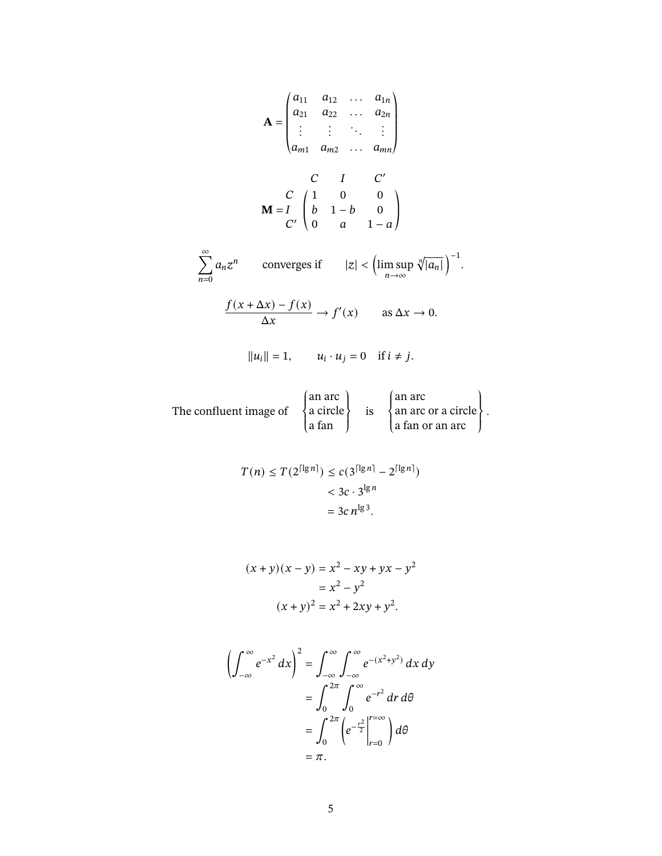$$
\mathbf{A} = \begin{pmatrix} a_{11} & a_{12} & \cdots & a_{1n} \\ a_{21} & a_{22} & \cdots & a_{2n} \\ \vdots & \vdots & \ddots & \vdots \\ a_{m1} & a_{m2} & \cdots & a_{mn} \end{pmatrix}
$$

$$
\mathbf{M} = \begin{pmatrix} C & I & C' \\ b & 1-b & 0 \\ 0 & a & 1-a \end{pmatrix}
$$

$$
\sum_{n=0}^{\infty} a_n z^n \quad \text{converges if} \quad |z| < \left(\limsup_{n \to \infty} \sqrt[n]{|a_n|}\right)^{-1}.
$$

$$
\frac{f(x + \Delta x) - f(x)}{\Delta x} \to f'(x) \quad \text{as } \Delta x \to 0.
$$

$$
||u_i|| = 1, \quad u_i \cdot u_j = 0 \quad \text{if } i \neq j.
$$

The confluent image of  $\int$  $\overline{a}$ an arc a circle a fan  $\downarrow$  $\int$  $\frac{1}{15}$  $\overline{a}$ an arc an arc or a circle a fan or an arc  $\downarrow$  $\overline{a}$ .

$$
T(n) \le T(2^{\lceil \lg n \rceil}) \le c(3^{\lceil \lg n \rceil} - 2^{\lceil \lg n \rceil})
$$
  
< 
$$
< 3c \cdot 3^{\lg n}
$$
  

$$
= 3c n^{\lg 3}.
$$

$$
(x + y)(x - y) = x2 - xy + yx - y2
$$
  
= x<sup>2</sup> - y<sup>2</sup>  
(x + y)<sup>2</sup> = x<sup>2</sup> + 2xy + y<sup>2</sup>.

$$
\left(\int_{-\infty}^{\infty} e^{-x^2} dx\right)^2 = \int_{-\infty}^{\infty} \int_{-\infty}^{\infty} e^{-(x^2 + y^2)} dx dy
$$

$$
= \int_{0}^{2\pi} \int_{0}^{\infty} e^{-r^2} dr d\theta
$$

$$
= \int_{0}^{2\pi} \left(e^{-\frac{r^2}{2}}\Big|_{r=0}^{r=\infty}\right) d\theta
$$

$$
= \pi.
$$